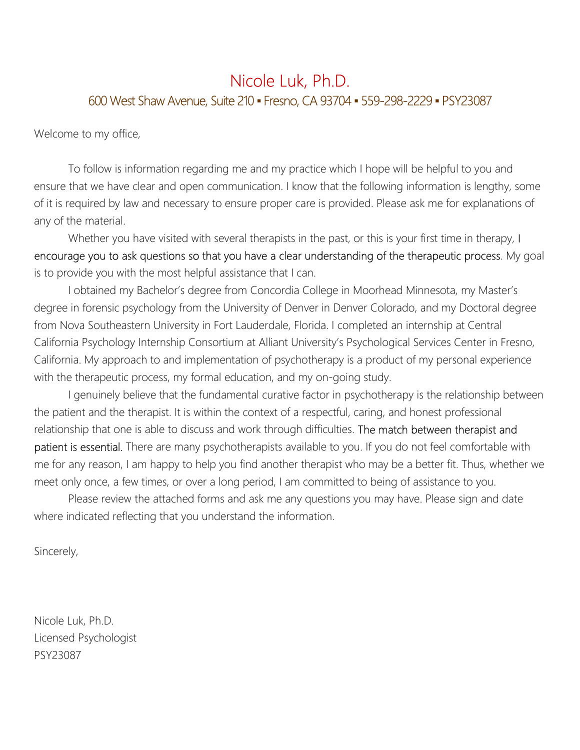#### Nicole Luk, Ph.D. 600 West Shaw Avenue, Suite 210 · Fresno, CA 93704 · 559-298-2229 · PSY23087

Welcome to my office,

To follow is information regarding me and my practice which I hope will be helpful to you and ensure that we have clear and open communication. I know that the following information is lengthy, some of it is required by law and necessary to ensure proper care is provided. Please ask me for explanations of any of the material.

Whether you have visited with several therapists in the past, or this is your first time in therapy, I encourage you to ask questions so that you have a clear understanding of the therapeutic process. My goal is to provide you with the most helpful assistance that I can.

I obtained my Bachelor's degree from Concordia College in Moorhead Minnesota, my Master's degree in forensic psychology from the University of Denver in Denver Colorado, and my Doctoral degree from Nova Southeastern University in Fort Lauderdale, Florida. I completed an internship at Central California Psychology Internship Consortium at Alliant University's Psychological Services Center in Fresno, California. My approach to and implementation of psychotherapy is a product of my personal experience with the therapeutic process, my formal education, and my on-going study.

I genuinely believe that the fundamental curative factor in psychotherapy is the relationship between the patient and the therapist. It is within the context of a respectful, caring, and honest professional relationship that one is able to discuss and work through difficulties. The match between therapist and patient is essential. There are many psychotherapists available to you. If you do not feel comfortable with me for any reason, I am happy to help you find another therapist who may be a better fit. Thus, whether we meet only once, a few times, or over a long period, I am committed to being of assistance to you.

Please review the attached forms and ask me any questions you may have. Please sign and date where indicated reflecting that you understand the information.

Sincerely,

Nicole Luk, Ph.D. Licensed Psychologist PSY23087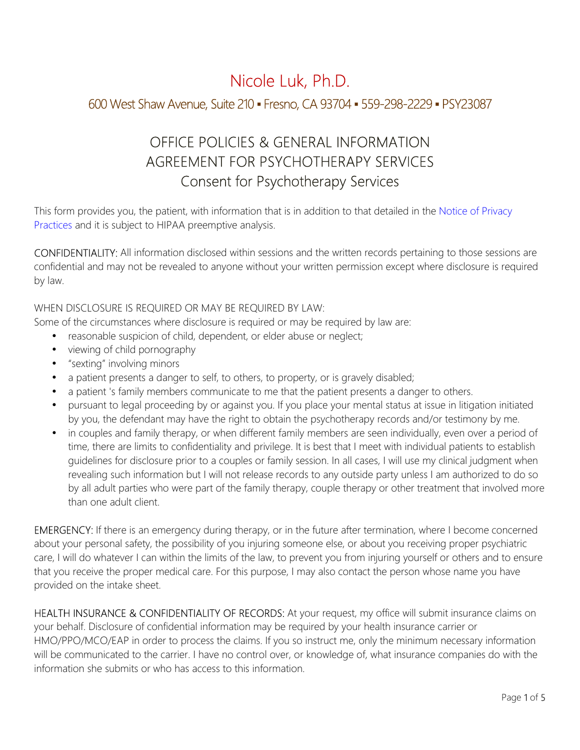# Nicole Luk, Ph.D. 600 West Shaw Avenue, Suite 210 ▪ Fresno, CA 93704 ▪ 559-298-2229 ▪ PSY23087

## OFFICE POLICIES & GENERAL INFORMATION AGREEMENT FOR PSYCHOTHERAPY SERVICES Consent for Psychotherapy Services

This form provides you, the patient, with information that is in addition to that detailed in the Notice of Privacy Practices and it is subject to HIPAA preemptive analysis.

CONFIDENTIALITY: All information disclosed within sessions and the written records pertaining to those sessions are confidential and may not be revealed to anyone without your written permission except where disclosure is required by law.

WHEN DISCLOSURE IS REQUIRED OR MAY BE REQUIRED BY LAW:

Some of the circumstances where disclosure is required or may be required by law are:

- reasonable suspicion of child, dependent, or elder abuse or neglect;
- viewing of child pornography
- "sexting" involving minors
- a patient presents a danger to self, to others, to property, or is gravely disabled;
- a patient 's family members communicate to me that the patient presents a danger to others.
- pursuant to legal proceeding by or against you. If you place your mental status at issue in litigation initiated by you, the defendant may have the right to obtain the psychotherapy records and/or testimony by me.
- in couples and family therapy, or when different family members are seen individually, even over a period of time, there are limits to confidentiality and privilege. It is best that I meet with individual patients to establish guidelines for disclosure prior to a couples or family session. In all cases, I will use my clinical judgment when revealing such information but I will not release records to any outside party unless I am authorized to do so by all adult parties who were part of the family therapy, couple therapy or other treatment that involved more than one adult client.

**EMERGENCY:** If there is an emergency during therapy, or in the future after termination, where I become concerned about your personal safety, the possibility of you injuring someone else, or about you receiving proper psychiatric care, I will do whatever I can within the limits of the law, to prevent you from injuring yourself or others and to ensure that you receive the proper medical care. For this purpose, I may also contact the person whose name you have provided on the intake sheet.

HEALTH INSURANCE & CONFIDENTIALITY OF RECORDS: At your request, my office will submit insurance claims on your behalf. Disclosure of confidential information may be required by your health insurance carrier or HMO/PPO/MCO/EAP in order to process the claims. If you so instruct me, only the minimum necessary information will be communicated to the carrier. I have no control over, or knowledge of, what insurance companies do with the information she submits or who has access to this information.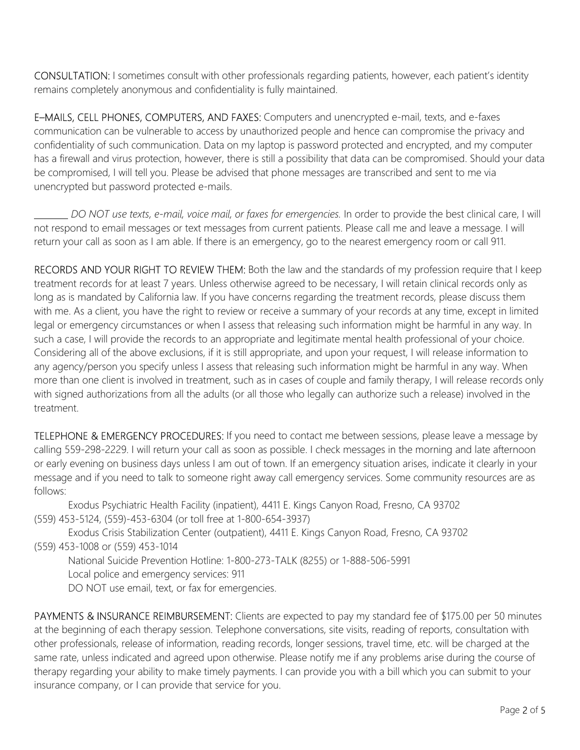CONSULTATION: I sometimes consult with other professionals regarding patients, however, each patient's identity remains completely anonymous and confidentiality is fully maintained.

E–MAILS, CELL PHONES, COMPUTERS, AND FAXES: Computers and unencrypted e-mail, texts, and e-faxes communication can be vulnerable to access by unauthorized people and hence can compromise the privacy and confidentiality of such communication. Data on my laptop is password protected and encrypted, and my computer has a firewall and virus protection, however, there is still a possibility that data can be compromised. Should your data be compromised, I will tell you. Please be advised that phone messages are transcribed and sent to me via unencrypted but password protected e-mails.

 *DO NOT use texts, e-mail, voice mail, or faxes for emergencies.* In order to provide the best clinical care, I will not respond to email messages or text messages from current patients. Please call me and leave a message. I will return your call as soon as I am able. If there is an emergency, go to the nearest emergency room or call 911.

RECORDS AND YOUR RIGHT TO REVIEW THEM: Both the law and the standards of my profession require that I keep treatment records for at least 7 years. Unless otherwise agreed to be necessary, I will retain clinical records only as long as is mandated by California law. If you have concerns regarding the treatment records, please discuss them with me. As a client, you have the right to review or receive a summary of your records at any time, except in limited legal or emergency circumstances or when I assess that releasing such information might be harmful in any way. In such a case, I will provide the records to an appropriate and legitimate mental health professional of your choice. Considering all of the above exclusions, if it is still appropriate, and upon your request, I will release information to any agency/person you specify unless I assess that releasing such information might be harmful in any way. When more than one client is involved in treatment, such as in cases of couple and family therapy, I will release records only with signed authorizations from all the adults (or all those who legally can authorize such a release) involved in the treatment.

TELEPHONE & EMERGENCY PROCEDURES: If you need to contact me between sessions, please leave a message by calling 559-298-2229. I will return your call as soon as possible. I check messages in the morning and late afternoon or early evening on business days unless I am out of town. If an emergency situation arises, indicate it clearly in your message and if you need to talk to someone right away call emergency services. Some community resources are as follows:

Exodus Psychiatric Health Facility (inpatient), 4411 E. Kings Canyon Road, Fresno, CA 93702 (559) 453-5124, (559)-453-6304 (or toll free at 1-800-654-3937)

Exodus Crisis Stabilization Center (outpatient), 4411 E. Kings Canyon Road, Fresno, CA 93702 (559) 453-1008 or (559) 453-1014

National Suicide Prevention Hotline: 1-800-273-TALK (8255) or 1-888-506-5991

Local police and emergency services: 911

DO NOT use email, text, or fax for emergencies.

PAYMENTS & INSURANCE REIMBURSEMENT: Clients are expected to pay my standard fee of \$175.00 per 50 minutes at the beginning of each therapy session. Telephone conversations, site visits, reading of reports, consultation with other professionals, release of information, reading records, longer sessions, travel time, etc. will be charged at the same rate, unless indicated and agreed upon otherwise. Please notify me if any problems arise during the course of therapy regarding your ability to make timely payments. I can provide you with a bill which you can submit to your insurance company, or I can provide that service for you.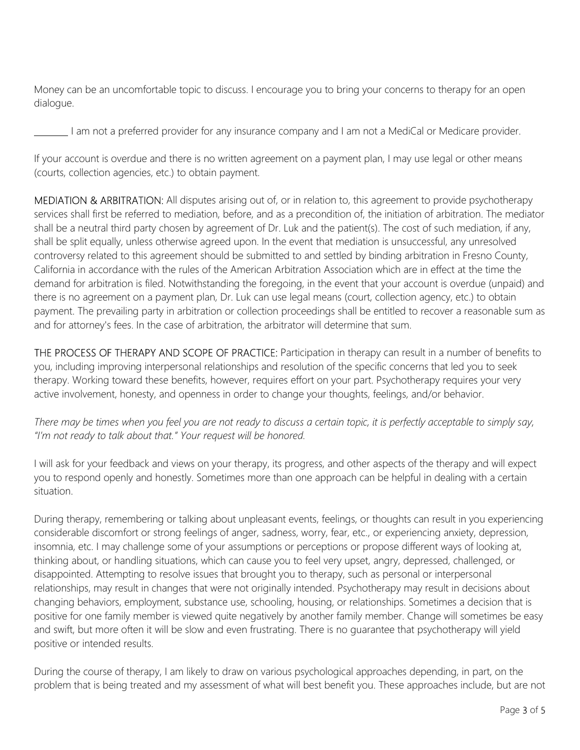Money can be an uncomfortable topic to discuss. I encourage you to bring your concerns to therapy for an open dialogue.

I am not a preferred provider for any insurance company and I am not a MediCal or Medicare provider.

If your account is overdue and there is no written agreement on a payment plan, I may use legal or other means (courts, collection agencies, etc.) to obtain payment.

MEDIATION & ARBITRATION: All disputes arising out of, or in relation to, this agreement to provide psychotherapy services shall first be referred to mediation, before, and as a precondition of, the initiation of arbitration. The mediator shall be a neutral third party chosen by agreement of Dr. Luk and the patient(s). The cost of such mediation, if any, shall be split equally, unless otherwise agreed upon. In the event that mediation is unsuccessful, any unresolved controversy related to this agreement should be submitted to and settled by binding arbitration in Fresno County, California in accordance with the rules of the American Arbitration Association which are in effect at the time the demand for arbitration is filed. Notwithstanding the foregoing, in the event that your account is overdue (unpaid) and there is no agreement on a payment plan, Dr. Luk can use legal means (court, collection agency, etc.) to obtain payment. The prevailing party in arbitration or collection proceedings shall be entitled to recover a reasonable sum as and for attorney's fees. In the case of arbitration, the arbitrator will determine that sum.

THE PROCESS OF THERAPY AND SCOPE OF PRACTICE: Participation in therapy can result in a number of benefits to you, including improving interpersonal relationships and resolution of the specific concerns that led you to seek therapy. Working toward these benefits, however, requires effort on your part. Psychotherapy requires your very active involvement, honesty, and openness in order to change your thoughts, feelings, and/or behavior.

*There may be times when you feel you are not ready to discuss a certain topic, it is perfectly acceptable to simply say, "I'm not ready to talk about that." Your request will be honored.*

I will ask for your feedback and views on your therapy, its progress, and other aspects of the therapy and will expect you to respond openly and honestly. Sometimes more than one approach can be helpful in dealing with a certain situation.

During therapy, remembering or talking about unpleasant events, feelings, or thoughts can result in you experiencing considerable discomfort or strong feelings of anger, sadness, worry, fear, etc., or experiencing anxiety, depression, insomnia, etc. I may challenge some of your assumptions or perceptions or propose different ways of looking at, thinking about, or handling situations, which can cause you to feel very upset, angry, depressed, challenged, or disappointed. Attempting to resolve issues that brought you to therapy, such as personal or interpersonal relationships, may result in changes that were not originally intended. Psychotherapy may result in decisions about changing behaviors, employment, substance use, schooling, housing, or relationships. Sometimes a decision that is positive for one family member is viewed quite negatively by another family member. Change will sometimes be easy and swift, but more often it will be slow and even frustrating. There is no guarantee that psychotherapy will yield positive or intended results.

During the course of therapy, I am likely to draw on various psychological approaches depending, in part, on the problem that is being treated and my assessment of what will best benefit you. These approaches include, but are not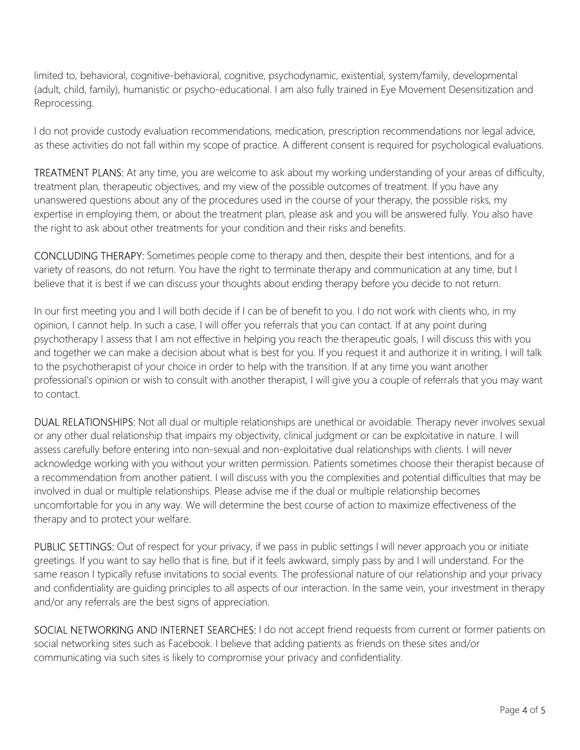limited to, behavioral, cognitive-behavioral, cognitive, psychodynamic, existential, system/family, developmental (adult, child, family), humanistic or psycho-educational. I am also fully trained in Eye Movement Desensitization and Reprocessing.

I do not provide custody evaluation recommendations, medication, prescription recommendations nor legal advice, as these activities do not fall within my scope of practice. A different consent is required for psychological evaluations.

TREATMENT PLANS: At any time, you are welcome to ask about my working understanding of your areas of difficulty, treatment plan, therapeutic objectives, and my view of the possible outcomes of treatment. If you have any unanswered questions about any of the procedures used in the course of your therapy, the possible risks, my expertise in employing them, or about the treatment plan, please ask and you will be answered fully. You also have the right to ask about other treatments for your condition and their risks and benefits.

CONCLUDING THERAPY: Sometimes people come to therapy and then, despite their best intentions, and for a variety of reasons, do not return. You have the right to terminate therapy and communication at any time, but I believe that it is best if we can discuss your thoughts about ending therapy before you decide to not return.

In our first meeting you and I will both decide if I can be of benefit to you. I do not work with clients who, in my opinion, I cannot help. In such a case, I will offer you referrals that you can contact. If at any point during psychotherapy I assess that I am not effective in helping you reach the therapeutic goals, I will discuss this with you and together we can make a decision about what is best for you. If you request it and authorize it in writing, I will talk to the psychotherapist of your choice in order to help with the transition. If at any time you want another professional's opinion or wish to consult with another therapist, I will give you a couple of referrals that you may want to contact.

DUAL RELATIONSHIPS: Not all dual or multiple relationships are unethical or avoidable. Therapy never involves sexual or any other dual relationship that impairs my objectivity, clinical judgment or can be exploitative in nature. I will assess carefully before entering into non-sexual and non-exploitative dual relationships with clients. I will never acknowledge working with you without your written permission. Patients sometimes choose their therapist because of a recommendation from another patient. I will discuss with you the complexities and potential difficulties that may be involved in dual or multiple relationships. Please advise me if the dual or multiple relationship becomes uncomfortable for you in any way. We will determine the best course of action to maximize effectiveness of the therapy and to protect your welfare.

PUBLIC SETTINGS: Out of respect for your privacy, if we pass in public settings I will never approach you or initiate greetings. If you want to say hello that is fine, but if it feels awkward, simply pass by and I will understand. For the same reason I typically refuse invitations to social events. The professional nature of our relationship and your privacy and confidentiality are guiding principles to all aspects of our interaction. In the same vein, your investment in therapy and/or any referrals are the best signs of appreciation.

SOCIAL NETWORKING AND INTERNET SEARCHES: I do not accept friend requests from current or former patients on social networking sites such as Facebook. I believe that adding patients as friends on these sites and/or communicating via such sites is likely to compromise your privacy and confidentiality.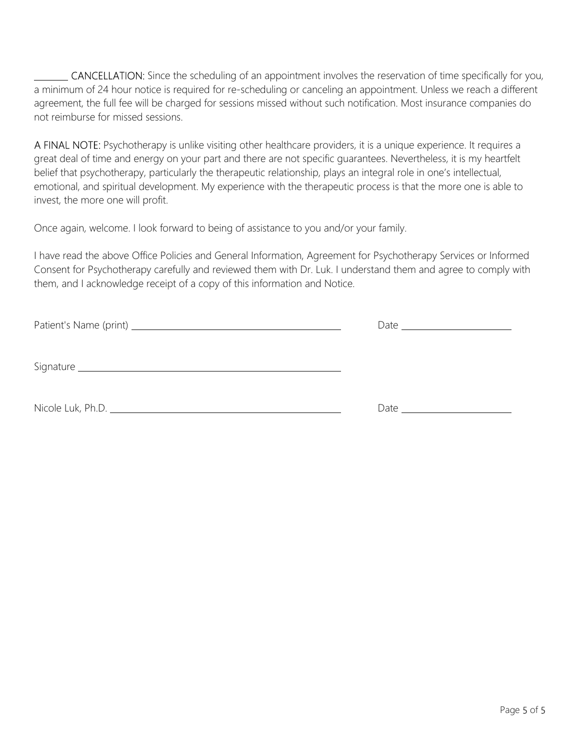CANCELLATION: Since the scheduling of an appointment involves the reservation of time specifically for you, a minimum of 24 hour notice is required for re-scheduling or canceling an appointment. Unless we reach a different agreement, the full fee will be charged for sessions missed without such notification. Most insurance companies do not reimburse for missed sessions.

A FINAL NOTE: Psychotherapy is unlike visiting other healthcare providers, it is a unique experience. It requires a great deal of time and energy on your part and there are not specific guarantees. Nevertheless, it is my heartfelt belief that psychotherapy, particularly the therapeutic relationship, plays an integral role in one's intellectual, emotional, and spiritual development. My experience with the therapeutic process is that the more one is able to invest, the more one will profit.

Once again, welcome. I look forward to being of assistance to you and/or your family.

I have read the above Office Policies and General Information, Agreement for Psychotherapy Services or Informed Consent for Psychotherapy carefully and reviewed them with Dr. Luk. I understand them and agree to comply with them, and I acknowledge receipt of a copy of this information and Notice.

Patient's Name (print) Date

Signature experience and the state of the state of the state of the state of the state of the state of the state of the state of the state of the state of the state of the state of the state of the state of the state of th

Nicole Luk, Ph.D. Date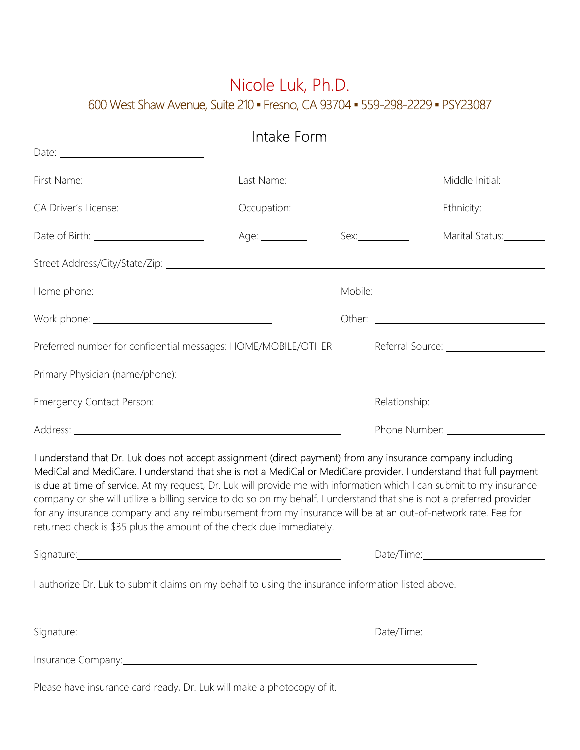## Nicole Luk, Ph.D. 600 West Shaw Avenue, Suite 210 · Fresno, CA 93704 · 559-298-2229 · PSY23087

|                                                                                                                                                                                                                                                                                                                                                                                                                                                                                                                                                                                                                                                                            | Intake Form |                       |                 |
|----------------------------------------------------------------------------------------------------------------------------------------------------------------------------------------------------------------------------------------------------------------------------------------------------------------------------------------------------------------------------------------------------------------------------------------------------------------------------------------------------------------------------------------------------------------------------------------------------------------------------------------------------------------------------|-------------|-----------------------|-----------------|
|                                                                                                                                                                                                                                                                                                                                                                                                                                                                                                                                                                                                                                                                            |             |                       |                 |
| CA Driver's License: __________________                                                                                                                                                                                                                                                                                                                                                                                                                                                                                                                                                                                                                                    |             |                       |                 |
| Date of Birth: _________________________                                                                                                                                                                                                                                                                                                                                                                                                                                                                                                                                                                                                                                   |             |                       | Marital Status: |
|                                                                                                                                                                                                                                                                                                                                                                                                                                                                                                                                                                                                                                                                            |             |                       |                 |
|                                                                                                                                                                                                                                                                                                                                                                                                                                                                                                                                                                                                                                                                            |             |                       |                 |
|                                                                                                                                                                                                                                                                                                                                                                                                                                                                                                                                                                                                                                                                            |             |                       |                 |
| Preferred number for confidential messages: HOME/MOBILE/OTHER                                                                                                                                                                                                                                                                                                                                                                                                                                                                                                                                                                                                              |             |                       |                 |
| Primary Physician (name/phone): example and the state of the state of the state of the state of the state of the state of the state of the state of the state of the state of the state of the state of the state of the state                                                                                                                                                                                                                                                                                                                                                                                                                                             |             |                       |                 |
| Emergency Contact Person: Committee Control of the Control of the Control of the Control of the Control of the                                                                                                                                                                                                                                                                                                                                                                                                                                                                                                                                                             |             | Relationship: 2000    |                 |
|                                                                                                                                                                                                                                                                                                                                                                                                                                                                                                                                                                                                                                                                            |             |                       |                 |
| I understand that Dr. Luk does not accept assignment (direct payment) from any insurance company including<br>MediCal and MediCare. I understand that she is not a MediCal or MediCare provider. I understand that full payment<br>is due at time of service. At my request, Dr. Luk will provide me with information which I can submit to my insurance<br>company or she will utilize a billing service to do so on my behalf. I understand that she is not a preferred provider<br>for any insurance company and any reimbursement from my insurance will be at an out-of-network rate. Fee for<br>returned check is \$35 plus the amount of the check due immediately. |             |                       |                 |
|                                                                                                                                                                                                                                                                                                                                                                                                                                                                                                                                                                                                                                                                            |             | Date/Time: Date/Time: |                 |
| I authorize Dr. Luk to submit claims on my behalf to using the insurance information listed above.                                                                                                                                                                                                                                                                                                                                                                                                                                                                                                                                                                         |             |                       |                 |
| Signature: <u>Communications and Communications and Communications and Communications</u>                                                                                                                                                                                                                                                                                                                                                                                                                                                                                                                                                                                  |             |                       |                 |
| Insurance Company: <u>companies</u>                                                                                                                                                                                                                                                                                                                                                                                                                                                                                                                                                                                                                                        |             |                       |                 |

Please have insurance card ready, Dr. Luk will make a photocopy of it.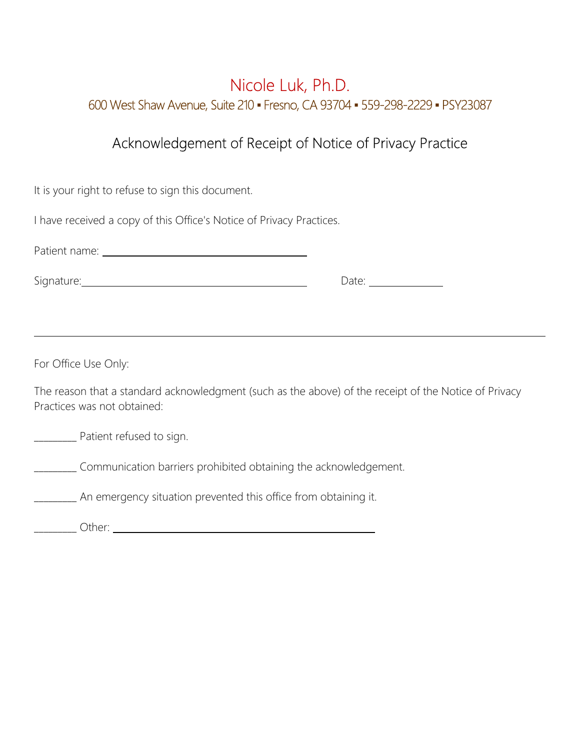## Nicole Luk, Ph.D. 600 West Shaw Avenue, Suite 210 ▪ Fresno, CA 93704 ▪ 559-298-2229 ▪ PSY23087

## Acknowledgement of Receipt of Notice of Privacy Practice

| It is your right to refuse to sign this document.                                                                                                                                                                                    |  |  |  |  |
|--------------------------------------------------------------------------------------------------------------------------------------------------------------------------------------------------------------------------------------|--|--|--|--|
| I have received a copy of this Office's Notice of Privacy Practices.                                                                                                                                                                 |  |  |  |  |
|                                                                                                                                                                                                                                      |  |  |  |  |
| Signature: <u>contract and a series of the series of the series of the series of the series of the series of the series of the series of the series of the series of the series of the series of the series of the series of the</u> |  |  |  |  |
|                                                                                                                                                                                                                                      |  |  |  |  |
|                                                                                                                                                                                                                                      |  |  |  |  |
| For Office Use Only:                                                                                                                                                                                                                 |  |  |  |  |
| The reason that a standard acknowledgment (such as the above) of the receipt of the Notice of Privacy<br>Practices was not obtained:                                                                                                 |  |  |  |  |
| ___________ Patient refused to sign.                                                                                                                                                                                                 |  |  |  |  |
| Communication barriers prohibited obtaining the acknowledgement.                                                                                                                                                                     |  |  |  |  |
| An emergency situation prevented this office from obtaining it.                                                                                                                                                                      |  |  |  |  |
|                                                                                                                                                                                                                                      |  |  |  |  |